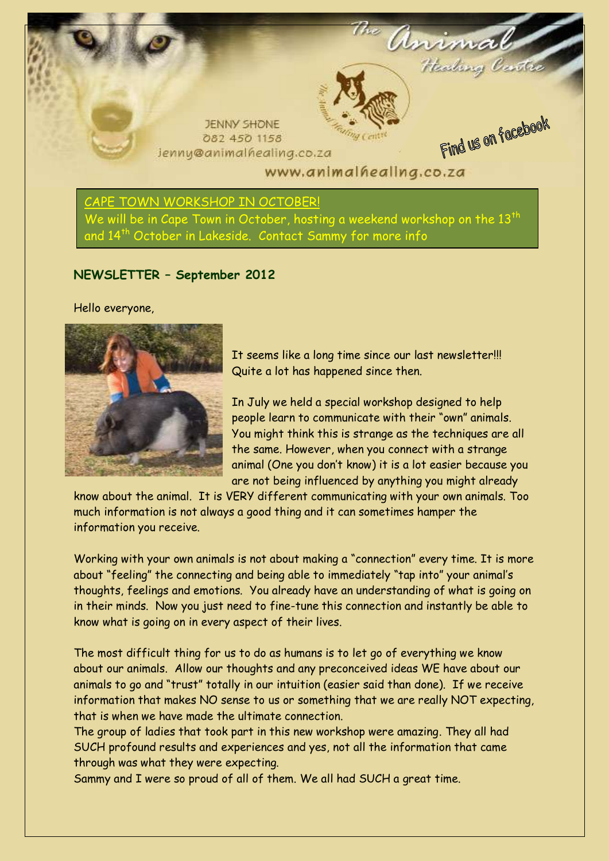

# APE TOWN WORKSHOP IN OCTOBER! We will be in Cape Town in October, hosting a weekend workshop on the  $13^{\sf th}$ and 14<sup>th</sup> October in Lakeside. Contact Sammy for more info

## **NEWSLETTER – September 2012**

Hello everyone,



It seems like a long time since our last newsletter!!! Quite a lot has happened since then.

In July we held a special workshop designed to help people learn to communicate with their "own" animals. You might think this is strange as the techniques are all the same. However, when you connect with a strange animal (One you don't know) it is a lot easier because you are not being influenced by anything you might already

know about the animal. It is VERY different communicating with your own animals. Too much information is not always a good thing and it can sometimes hamper the information you receive.

Working with your own animals is not about making a "connection" every time. It is more about "feeling" the connecting and being able to immediately "tap into" your animal's thoughts, feelings and emotions. You already have an understanding of what is going on in their minds. Now you just need to fine-tune this connection and instantly be able to know what is going on in every aspect of their lives.

The most difficult thing for us to do as humans is to let go of everything we know about our animals. Allow our thoughts and any preconceived ideas WE have about our animals to go and "trust" totally in our intuition (easier said than done). If we receive information that makes NO sense to us or something that we are really NOT expecting, that is when we have made the ultimate connection.

The group of ladies that took part in this new workshop were amazing. They all had SUCH profound results and experiences and yes, not all the information that came through was what they were expecting.

Sammy and I were so proud of all of them. We all had SUCH a great time.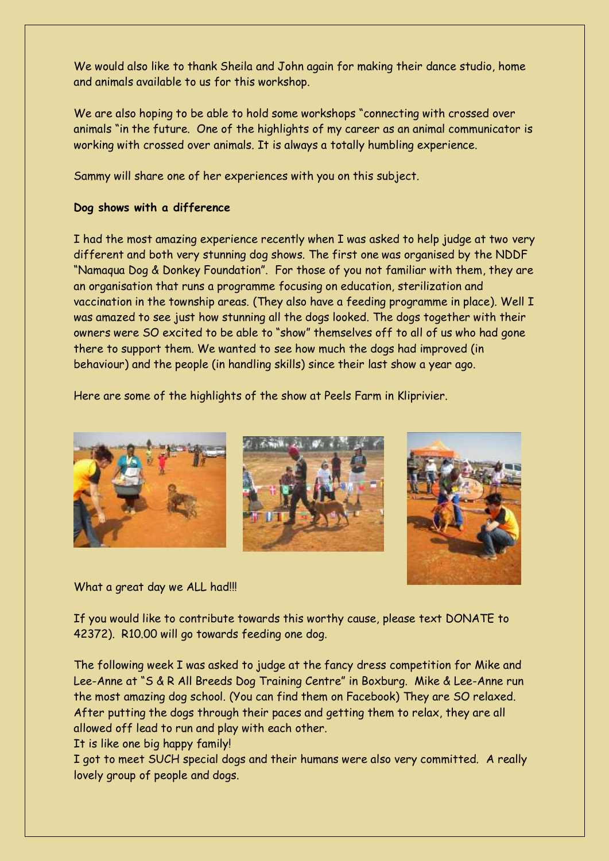We would also like to thank Sheila and John again for making their dance studio, home and animals available to us for this workshop.

We are also hoping to be able to hold some workshops "connecting with crossed over animals "in the future. One of the highlights of my career as an animal communicator is working with crossed over animals. It is always a totally humbling experience.

Sammy will share one of her experiences with you on this subject.

#### **Dog shows with a difference**

I had the most amazing experience recently when I was asked to help judge at two very different and both very stunning dog shows. The first one was organised by the NDDF "Namaqua Dog & Donkey Foundation". For those of you not familiar with them, they are an organisation that runs a programme focusing on education, sterilization and vaccination in the township areas. (They also have a feeding programme in place). Well I was amazed to see just how stunning all the dogs looked. The dogs together with their owners were SO excited to be able to "show" themselves off to all of us who had gone there to support them. We wanted to see how much the dogs had improved (in behaviour) and the people (in handling skills) since their last show a year ago.

Here are some of the highlights of the show at Peels Farm in Kliprivier.



What a great day we ALL had!!!

If you would like to contribute towards this worthy cause, please text DONATE to 42372). R10.00 will go towards feeding one dog.

The following week I was asked to judge at the fancy dress competition for Mike and Lee-Anne at "S & R All Breeds Dog Training Centre" in Boxburg. Mike & Lee-Anne run the most amazing dog school. (You can find them on Facebook) They are SO relaxed. After putting the dogs through their paces and getting them to relax, they are all allowed off lead to run and play with each other.

It is like one big happy family!

I got to meet SUCH special dogs and their humans were also very committed. A really lovely group of people and dogs.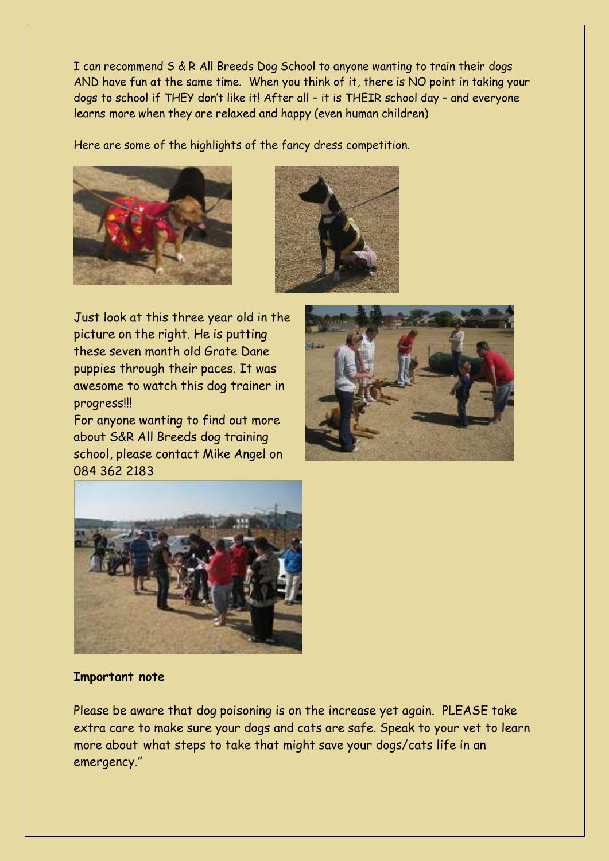I can recommend S & R All Breeds Dog School to anyone wanting to train their dogs AND have fun at the same time. When you think of it, there is NO point in taking your dogs to school if THEY don't like it! After all – it is THEIR school day – and everyone learns more when they are relaxed and happy (even human children)

Here are some of the highlights of the fancy dress competition.





Just look at this three year old in the picture on the right. He is putting these seven month old Grate Dane puppies through their paces. It was awesome to watch this dog trainer in progress!!!

For anyone wanting to find out more about S&R All Breeds dog training school, please contact Mike Angel on 084 362 2183





#### **Important note**

Please be aware that dog poisoning is on the increase yet again. PLEASE take extra care to make sure your dogs and cats are safe. Speak to your vet to learn more about what steps to take that might save your dogs/cats life in an emergency."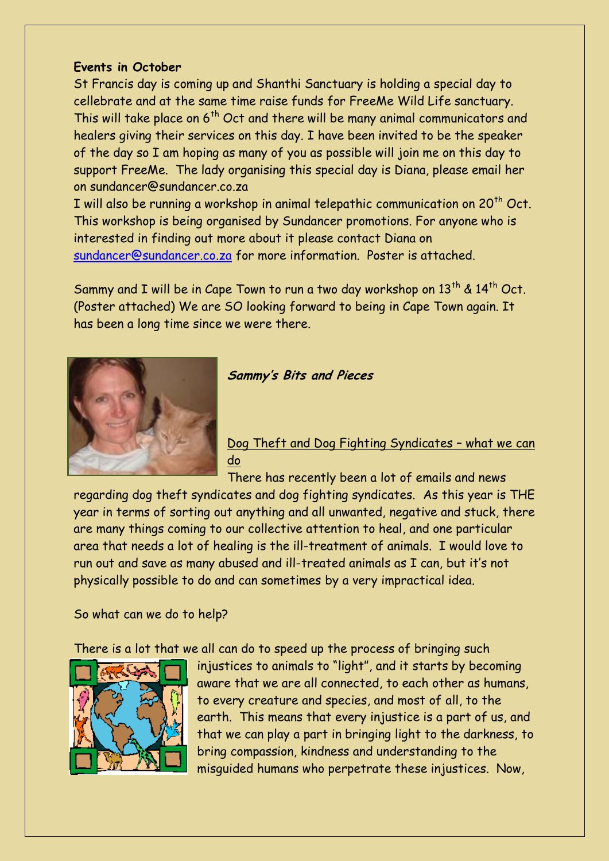## **Events in October**

St Francis day is coming up and Shanthi Sanctuary is holding a special day to cellebrate and at the same time raise funds for FreeMe Wild Life sanctuary. This will take place on 6<sup>th</sup> Oct and there will be many animal communicators and healers giving their services on this day. I have been invited to be the speaker of the day so I am hoping as many of you as possible will join me on this day to support FreeMe. The lady organising this special day is Diana, please email her on sundancer@sundancer.co.za

I will also be running a workshop in animal telepathic communication on 20<sup>th</sup> Oct. This workshop is being organised by Sundancer promotions. For anyone who is interested in finding out more about it please contact Diana on [sundancer@sundancer.co.za](mailto:sundancer@sundancer.co.za) for more information. Poster is attached.

Sammy and I will be in Cape Town to run a two day workshop on 13<sup>th</sup> & 14<sup>th</sup> Oct. (Poster attached) We are SO looking forward to being in Cape Town again. It has been a long time since we were there.



# **Sammy's Bits and Pieces**

Dog Theft and Dog Fighting Syndicates – what we can do

There has recently been a lot of emails and news

regarding dog theft syndicates and dog fighting syndicates. As this year is THE year in terms of sorting out anything and all unwanted, negative and stuck, there are many things coming to our collective attention to heal, and one particular area that needs a lot of healing is the ill-treatment of animals. I would love to run out and save as many abused and ill-treated animals as I can, but it's not physically possible to do and can sometimes by a very impractical idea.

So what can we do to help?

There is a lot that we all can do to speed up the process of bringing such



injustices to animals to "light", and it starts by becoming aware that we are all connected, to each other as humans, to every creature and species, and most of all, to the earth. This means that every injustice is a part of us, and that we can play a part in bringing light to the darkness, to bring compassion, kindness and understanding to the misguided humans who perpetrate these injustices. Now,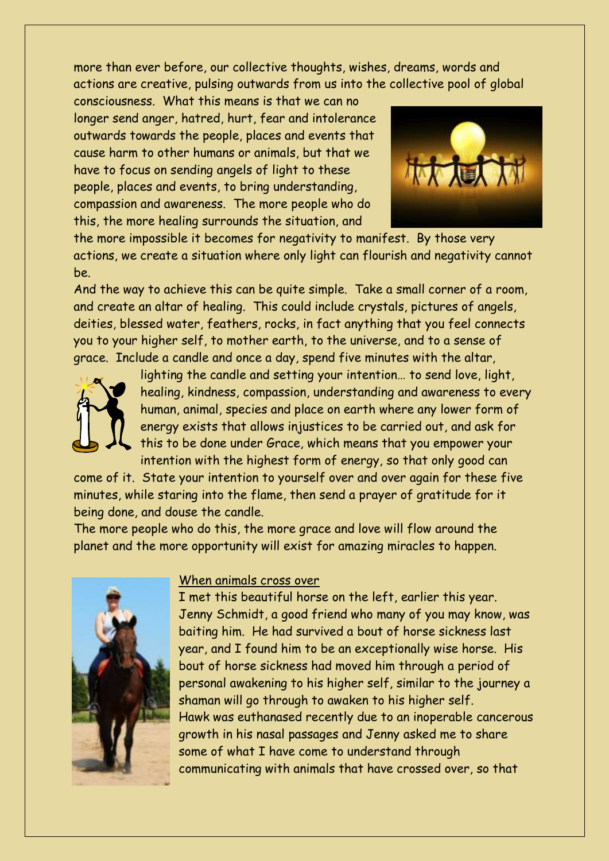more than ever before, our collective thoughts, wishes, dreams, words and actions are creative, pulsing outwards from us into the collective pool of global

consciousness. What this means is that we can no longer send anger, hatred, hurt, fear and intolerance outwards towards the people, places and events that cause harm to other humans or animals, but that we have to focus on sending angels of light to these people, places and events, to bring understanding, compassion and awareness. The more people who do this, the more healing surrounds the situation, and



the more impossible it becomes for negativity to manifest. By those very actions, we create a situation where only light can flourish and negativity cannot be.

And the way to achieve this can be quite simple. Take a small corner of a room, and create an altar of healing. This could include crystals, pictures of angels, deities, blessed water, feathers, rocks, in fact anything that you feel connects you to your higher self, to mother earth, to the universe, and to a sense of grace. Include a candle and once a day, spend five minutes with the altar,



lighting the candle and setting your intention… to send love, light, healing, kindness, compassion, understanding and awareness to every human, animal, species and place on earth where any lower form of energy exists that allows injustices to be carried out, and ask for this to be done under Grace, which means that you empower your intention with the highest form of energy, so that only good can

come of it. State your intention to yourself over and over again for these five minutes, while staring into the flame, then send a prayer of gratitude for it being done, and douse the candle.

The more people who do this, the more grace and love will flow around the planet and the more opportunity will exist for amazing miracles to happen.



## When animals cross over

I met this beautiful horse on the left, earlier this year. Jenny Schmidt, a good friend who many of you may know, was baiting him. He had survived a bout of horse sickness last year, and I found him to be an exceptionally wise horse. His bout of horse sickness had moved him through a period of personal awakening to his higher self, similar to the journey a shaman will go through to awaken to his higher self. Hawk was euthanased recently due to an inoperable cancerous growth in his nasal passages and Jenny asked me to share some of what I have come to understand through communicating with animals that have crossed over, so that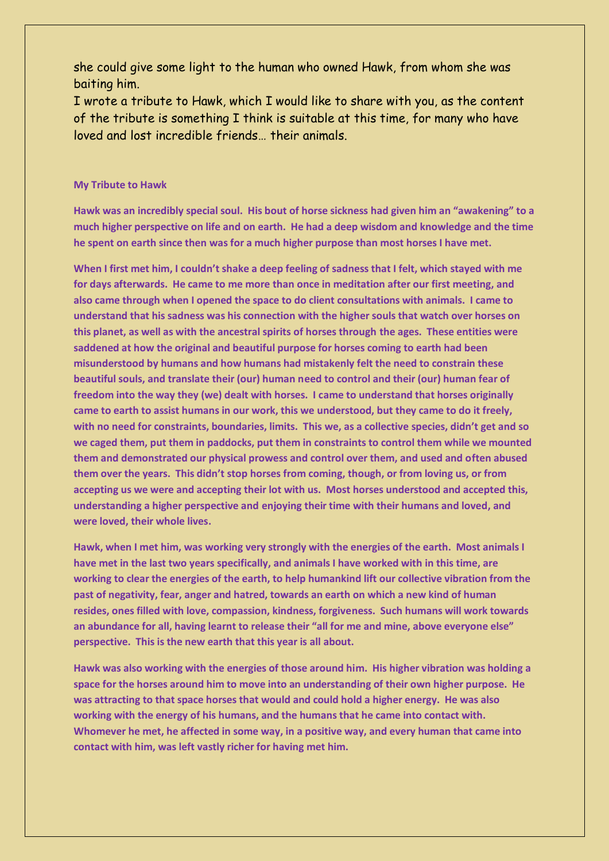she could give some light to the human who owned Hawk, from whom she was baiting him.

I wrote a tribute to Hawk, which I would like to share with you, as the content of the tribute is something I think is suitable at this time, for many who have loved and lost incredible friends… their animals.

#### **My Tribute to Hawk**

**Hawk was an incredibly special soul. His bout of horse sickness had given him an "awakening" to a much higher perspective on life and on earth. He had a deep wisdom and knowledge and the time he spent on earth since then was for a much higher purpose than most horses I have met.** 

**When I first met him, I couldn't shake a deep feeling of sadness that I felt, which stayed with me for days afterwards. He came to me more than once in meditation after our first meeting, and also came through when I opened the space to do client consultations with animals. I came to understand that his sadness was his connection with the higher souls that watch over horses on this planet, as well as with the ancestral spirits of horses through the ages. These entities were saddened at how the original and beautiful purpose for horses coming to earth had been misunderstood by humans and how humans had mistakenly felt the need to constrain these beautiful souls, and translate their (our) human need to control and their (our) human fear of freedom into the way they (we) dealt with horses. I came to understand that horses originally came to earth to assist humans in our work, this we understood, but they came to do it freely, with no need for constraints, boundaries, limits. This we, as a collective species, didn't get and so we caged them, put them in paddocks, put them in constraints to control them while we mounted them and demonstrated our physical prowess and control over them, and used and often abused them over the years. This didn't stop horses from coming, though, or from loving us, or from accepting us we were and accepting their lot with us. Most horses understood and accepted this, understanding a higher perspective and enjoying their time with their humans and loved, and were loved, their whole lives.**

**Hawk, when I met him, was working very strongly with the energies of the earth. Most animals I have met in the last two years specifically, and animals I have worked with in this time, are working to clear the energies of the earth, to help humankind lift our collective vibration from the past of negativity, fear, anger and hatred, towards an earth on which a new kind of human resides, ones filled with love, compassion, kindness, forgiveness. Such humans will work towards an abundance for all, having learnt to release their "all for me and mine, above everyone else" perspective. This is the new earth that this year is all about.**

**Hawk was also working with the energies of those around him. His higher vibration was holding a space for the horses around him to move into an understanding of their own higher purpose. He was attracting to that space horses that would and could hold a higher energy. He was also working with the energy of his humans, and the humans that he came into contact with. Whomever he met, he affected in some way, in a positive way, and every human that came into contact with him, was left vastly richer for having met him.**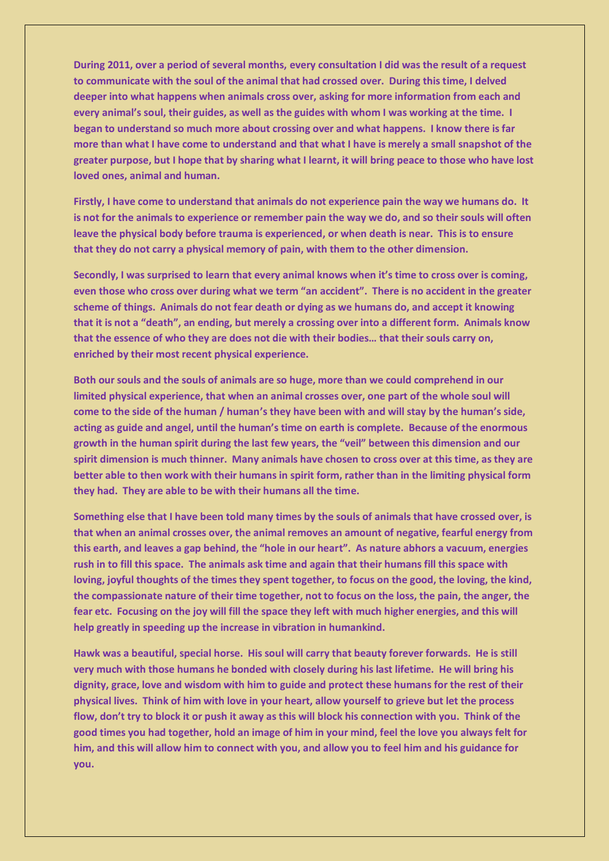**During 2011, over a period of several months, every consultation I did was the result of a request to communicate with the soul of the animal that had crossed over. During this time, I delved deeper into what happens when animals cross over, asking for more information from each and every animal's soul, their guides, as well as the guides with whom I was working at the time. I began to understand so much more about crossing over and what happens. I know there is far more than what I have come to understand and that what I have is merely a small snapshot of the greater purpose, but I hope that by sharing what I learnt, it will bring peace to those who have lost loved ones, animal and human.**

**Firstly, I have come to understand that animals do not experience pain the way we humans do. It is not for the animals to experience or remember pain the way we do, and so their souls will often leave the physical body before trauma is experienced, or when death is near. This is to ensure that they do not carry a physical memory of pain, with them to the other dimension.** 

**Secondly, I was surprised to learn that every animal knows when it's time to cross over is coming, even those who cross over during what we term "an accident". There is no accident in the greater scheme of things. Animals do not fear death or dying as we humans do, and accept it knowing that it is not a "death", an ending, but merely a crossing over into a different form. Animals know that the essence of who they are does not die with their bodies… that their souls carry on, enriched by their most recent physical experience.** 

**Both our souls and the souls of animals are so huge, more than we could comprehend in our limited physical experience, that when an animal crosses over, one part of the whole soul will come to the side of the human / human's they have been with and will stay by the human's side, acting as guide and angel, until the human's time on earth is complete. Because of the enormous growth in the human spirit during the last few years, the "veil" between this dimension and our spirit dimension is much thinner. Many animals have chosen to cross over at this time, as they are better able to then work with their humans in spirit form, rather than in the limiting physical form they had. They are able to be with their humans all the time.**

**Something else that I have been told many times by the souls of animals that have crossed over, is that when an animal crosses over, the animal removes an amount of negative, fearful energy from this earth, and leaves a gap behind, the "hole in our heart". As nature abhors a vacuum, energies rush in to fill this space. The animals ask time and again that their humans fill this space with loving, joyful thoughts of the times they spent together, to focus on the good, the loving, the kind, the compassionate nature of their time together, not to focus on the loss, the pain, the anger, the fear etc. Focusing on the joy will fill the space they left with much higher energies, and this will help greatly in speeding up the increase in vibration in humankind.**

**Hawk was a beautiful, special horse. His soul will carry that beauty forever forwards. He is still very much with those humans he bonded with closely during his last lifetime. He will bring his dignity, grace, love and wisdom with him to guide and protect these humans for the rest of their physical lives. Think of him with love in your heart, allow yourself to grieve but let the process flow, don't try to block it or push it away as this will block his connection with you. Think of the good times you had together, hold an image of him in your mind, feel the love you always felt for him, and this will allow him to connect with you, and allow you to feel him and his guidance for you.**